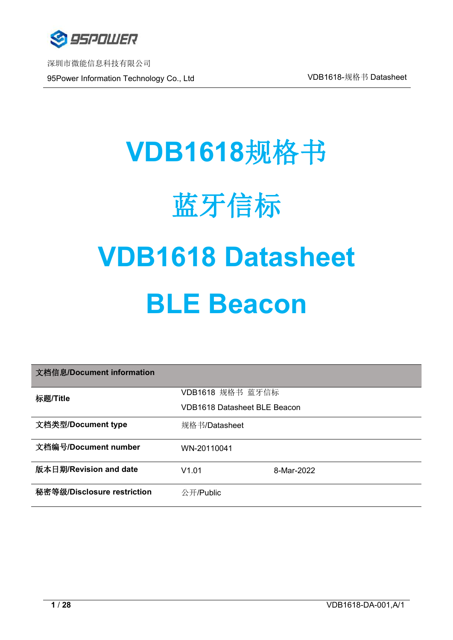

深圳市微能信息科技有限公司 95Power Information Technology Co., Ltd VDB1618-规格书 Datasheet

# **VDB1618**规格书 蓝牙信标 **VDB1618 Datasheet BLE Beacon**

| 文档信息/Document information   |                              |            |
|-----------------------------|------------------------------|------------|
| 标题/Title                    | VDB1618 规格书 蓝牙信标             |            |
|                             | VDB1618 Datasheet BLE Beacon |            |
| 文档类型/Document type          | 规格书/Datasheet                |            |
| 文档编号/Document number        | WN-20110041                  |            |
| 版本日期/Revision and date      | V1.01                        | 8-Mar-2022 |
| 秘密等级/Disclosure restriction | 公开/Public                    |            |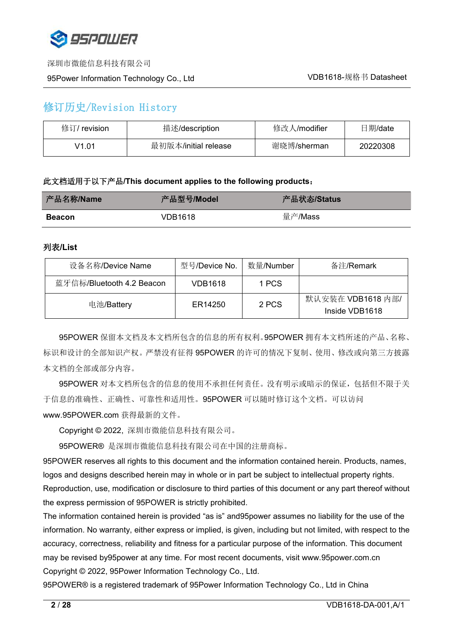

#### 95Power Information Technology Co., Ltd WELL Network Number 201618-规格书 Datasheet

# 修订历史/Revision History

| 修订/<br>' revision | 描述/description       | 修改人/modifier | 日期/date  |
|-------------------|----------------------|--------------|----------|
| V1.01             | 最初版本/initial release | 谢晓博/sherman  | 20220308 |

#### 此文档适用于以下产品**/This document applies to the following products**:

| 产品名称/Name     | 产品型号/Model | 产品状态/Status |
|---------------|------------|-------------|
| <b>Beacon</b> | VDB1618    | 量产/Mass     |

#### 列表**/List**

| 设备名称/Device Name          | 型号/Device No.  | 数量/Number | 备注/Remark                           |
|---------------------------|----------------|-----------|-------------------------------------|
| 蓝牙信标/Bluetooth 4.2 Beacon | <b>VDB1618</b> | 1 PCS     |                                     |
| 电池/Battery                | ER14250        | 2 PCS     | 默认安装在 VDB1618 内部/<br>Inside VDB1618 |

95POWER 保留本文档及本文档所包含的信息的所有权利。95POWER 拥有本文档所述的产品、名称、 标识和设计的全部知识产权。严禁没有征得 95POWER 的许可的情况下复制、使用、修改或向第三方披露 本文档的全部或部分内容。

95POWER 对本文档所包含的信息的使用不承担任何责任。没有明示或暗示的保证,包括但不限于关 于信息的准确性、正确性、可靠性和适用性。95POWER 可以随时修订这个文档。可以访问 [www.95POWER.com](http://www.skylab.com.cn) 获得最新的文件。

Copyright © 2022, 深圳市微能信息科技有限公司。

95POWER® 是深圳市微能信息科技有限公司在中国的注册商标。

95POWER reserves all rights to this document and the information contained herein. Products, names, logos and designs described herein may in whole or in part be subject to intellectual property rights. Reproduction, use, modification or disclosure to third parties of this document or any part thereof without the express permission of 95POWER is strictly prohibited.

The information contained herein is provided "as is" and95power assumes no liability for the use of the information. No warranty, either express or implied, is given, including but not limited, with respect to the accuracy, correctness, reliability and fitness for a particular purpose of the information. This document may be revised by95power at any time. For most recent documents, visit [www.95power.com.cn](http://www.skylab.com.cn) Copyright © 2022, 95Power Information Technology Co., Ltd.

95POWER® is a registered trademark of 95Power Information Technology Co., Ltd in China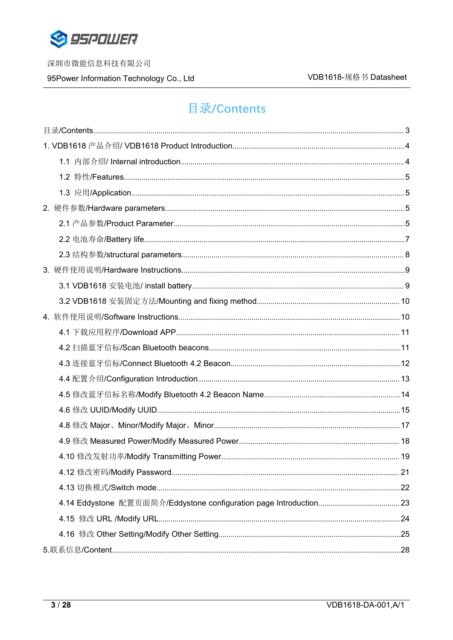

95Power Information Technology Co., Ltd

# <span id="page-2-0"></span>**目录/Contents**

<span id="page-2-1"></span>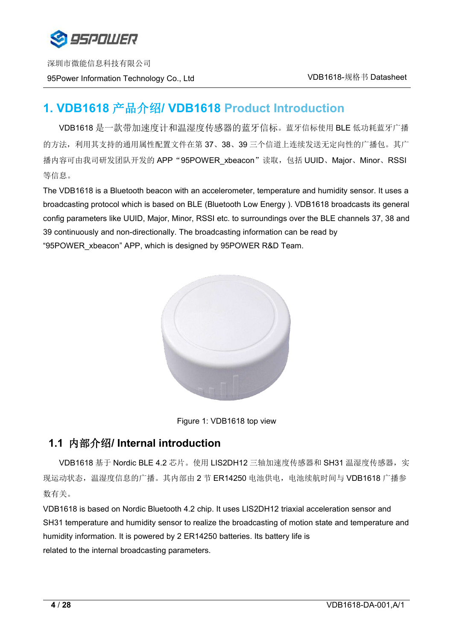

# **1. VDB1618** 产品介绍**/ VDB1618 Product Introduction**

VDB1618 是一款带加速度计和温湿度传感器的蓝牙信标。蓝牙信标使用 BLE 低功耗蓝牙广播 的方法,利用其支持的通用属性配置文件在第 37、38、39 三个信道上连续发送无定向性的广播包。其广 播内容可由我司研发团队开发的 APP "95POWER\_xbeacon"读取, 包括 UUID、Major、Minor、RSSI 等信息。

The VDB1618 is a Bluetooth beacon with an accelerometer, temperature and humidity sensor. It uses a broadcasting protocol which is based on BLE (Bluetooth Low Energy ). VDB1618 broadcasts its general config parameters like UUID, Major, Minor, RSSI etc. to surroundings over the BLE channels 37, 38 and 39 continuously and non-directionally. The broadcasting information can be read by "95POWER\_xbeacon" APP, which is designed by 95POWER R&D Team.





### <span id="page-3-0"></span>**1.1** 内部介绍**/ Internal introduction**

VDB1618 基于 Nordic BLE 4.2 芯片。使用 LIS2DH12 三轴加速度传感器和 SH31 温湿度传感器,实 现运动状态,温湿度信息的广播。其内部由 2 节 ER14250 电池供电, 电池续航时间与 VDB1618 广播参 数有关。

VDB1618 is based on Nordic Bluetooth 4.2 chip. It uses LIS2DH12 triaxial acceleration sensor and SH31 temperature and humidity sensor to realize the broadcasting of motion state and temperature and humidity information. It is powered by 2 ER14250 batteries. Its battery life is related to the internal broadcasting parameters.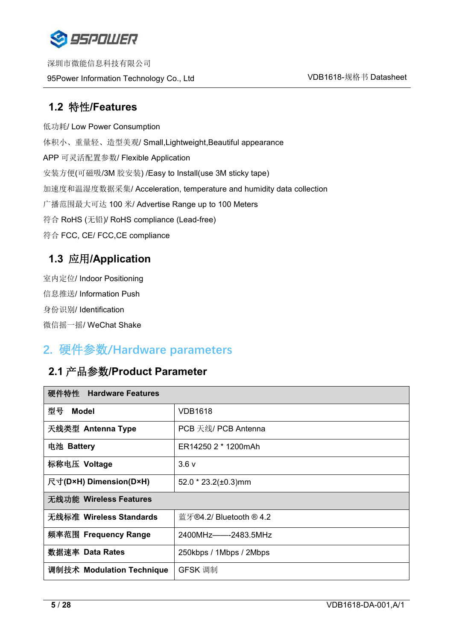

深圳市微能信息科技有限公司 95Power Information Technology Co., Ltd WELL Network Management VDB1618-规格书 Datasheet

## <span id="page-4-0"></span>**1.2** 特性**/Features**

低功耗/ Low Power Consumption 体积小、重量轻、造型美观/ Small,Lightweight,Beautiful appearance APP 可灵活配置参数/ Flexible Application 安装方便(可磁吸/3M 胶安装) /Easy to Install(use 3M sticky tape) 加速度和温湿度数据采集/ Acceleration, temperature and humidity data collection 广播范围最大可达 100 米/ Advertise Range up to 100 Meters 符合 RoHS (无铅)/ RoHS compliance (Lead-free) 符合 FCC, CE/ FCC,CE compliance

# <span id="page-4-1"></span>**1.3** 应用**/Application**

室内定位/ Indoor Positioning 信息推送/ Information Push 身份识别/ Identification 微信摇一摇/ WeChat Shake

# <span id="page-4-2"></span>**2.** 硬件参数**/Hardware parameters**

# <span id="page-4-3"></span>**2.1** 产品参数**/Product Parameter**

| 硬件特性 Hardware Features    |                           |
|---------------------------|---------------------------|
| 型号<br><b>Model</b>        | <b>VDB1618</b>            |
| 天线类型 Antenna Type         | PCB 天线/ PCB Antenna       |
| 电池 Battery                | ER14250 2 * 1200mAh       |
| 标称电压 Voltage              | 3.6v                      |
| 尺寸(D×H) Dimension(D×H)    | $52.0 * 23.2(\pm 0.3)$ mm |
| 无线功能 Wireless Features    |                           |
| 无线标准 Wireless Standards   | 蓝牙®4.2/ Bluetooth ® 4.2   |
| 频率范围 Frequency Range      | 2400MHz-2483.5MHz         |
| 数据速率 Data Rates           | 250kbps / 1Mbps / 2Mbps   |
| 调制技术 Modulation Technique | GFSK 调制                   |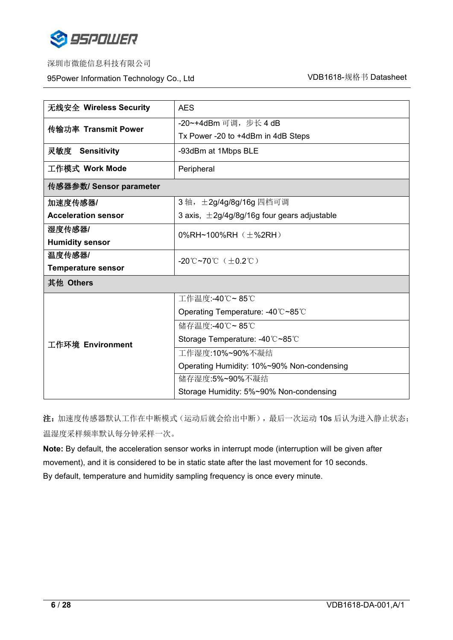

95Power Information Technology Co., Ltd Washington Muslem Muslem VDB1618-规格书 Datasheet

| 无线安全 Wireless Security     | <b>AES</b>                                       |  |
|----------------------------|--------------------------------------------------|--|
|                            | -20~+4dBm 可调, 步长 4 dB                            |  |
| 传输功率 Transmit Power        | Tx Power -20 to +4dBm in 4dB Steps               |  |
| 灵敏度 Sensitivity            | -93dBm at 1Mbps BLE                              |  |
| 工作模式 Work Mode             | Peripheral                                       |  |
| 传感器参数/ Sensor parameter    |                                                  |  |
| 加速度传感器/                    | 3轴, ±2g/4g/8g/16g 四档可调                           |  |
| <b>Acceleration sensor</b> | 3 axis, $\pm 2g/4g/8g/16g$ four gears adjustable |  |
| 湿度传感器/                     | 0%RH~100%RH $(\pm$ %2RH)                         |  |
| <b>Humidity sensor</b>     |                                                  |  |
| 温度传感器/                     | -20°C~70°C $(\pm 0.2^{\circ}\text{C})$           |  |
| <b>Temperature sensor</b>  |                                                  |  |
| 其他 Others                  |                                                  |  |
|                            | 工作温度:-40℃~85℃                                    |  |
|                            | Operating Temperature: -40℃~85℃                  |  |
| 工作环境 Environment           | 储存温度:-40℃~85℃                                    |  |
|                            | Storage Temperature: -40℃~85℃                    |  |
|                            | 工作湿度:10%~90%不凝结                                  |  |
|                            | Operating Humidity: 10%~90% Non-condensing       |  |
|                            | 储存湿度:5%~90%不凝结                                   |  |
|                            | Storage Humidity: 5%~90% Non-condensing          |  |

注: 加速度传感器默认工作在中断模式(运动后就会给出中断),最后一次运动 10s 后认为进入静止状态; 温湿度采样频率默认每分钟采样一次。

**Note:** By default, the acceleration sensor works in interrupt mode (interruption will be given after movement), and it is considered to be in static state after the last movement for 10 seconds. By default, temperature and humidity sampling frequency is once every minute.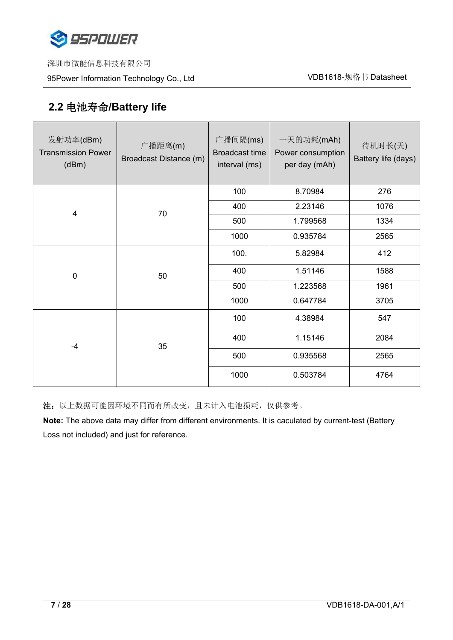

深圳市微能信息科技有限公司

95Power Information Technology Co., Ltd White Management Muslim VDB1618-规格书 Datasheet

# <span id="page-6-0"></span>**2.2** 电池寿命**/Battery life**

| 发射功率(dBm)<br><b>Transmission Power</b><br>(dBm) | 广播距离(m)<br>Broadcast Distance (m) | 广播间隔(ms)<br>Broadcast time<br>interval (ms) | 一天的功耗(mAh)<br>Power consumption<br>per day (mAh) | 待机时长(天)<br>Battery life (days) |
|-------------------------------------------------|-----------------------------------|---------------------------------------------|--------------------------------------------------|--------------------------------|
| $\overline{4}$                                  | 70                                | 100                                         | 8.70984                                          | 276                            |
|                                                 |                                   | 400                                         | 2.23146                                          | 1076                           |
|                                                 |                                   | 500                                         | 1.799568                                         | 1334                           |
|                                                 |                                   | 1000                                        | 0.935784                                         | 2565                           |
| $\pmb{0}$                                       | 50                                | 100.                                        | 5.82984                                          | 412                            |
|                                                 |                                   | 400                                         | 1.51146                                          | 1588                           |
|                                                 |                                   | 500                                         | 1.223568                                         | 1961                           |
|                                                 |                                   | 1000                                        | 0.647784                                         | 3705                           |
| $-4$                                            | 35                                | 100                                         | 4.38984                                          | 547                            |
|                                                 |                                   | 400                                         | 1.15146                                          | 2084                           |
|                                                 |                                   | 500                                         | 0.935568                                         | 2565                           |
|                                                 |                                   | 1000                                        | 0.503784                                         | 4764                           |

注:以上数据可能因环境不同而有所改变,且未计入电池损耗,仅供参考。

**Note:** The above data may differ from different environments. It is caculated by current-test (Battery Loss not included) and just for reference.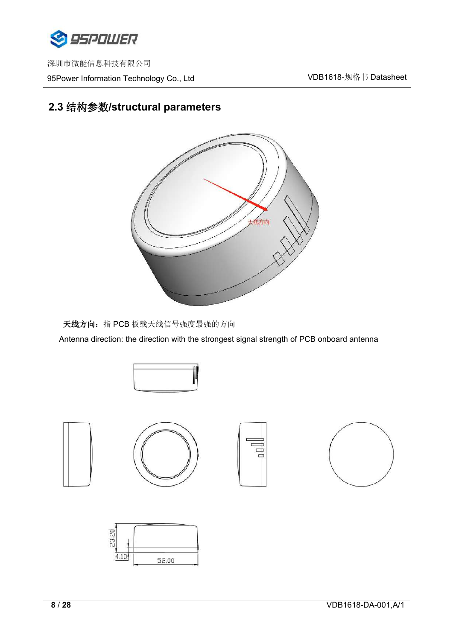

深圳市微能信息科技有限公司 95Power Information Technology Co., Ltd White Management Muslim VDB1618-规格书 Datasheet

# <span id="page-7-0"></span>**2.3** 结构参数**/structural parameters**



天线方向: 指 PCB 板载天线信号强度最强的方向

Antenna direction: the direction with the strongest signal strength of PCB onboard antenna







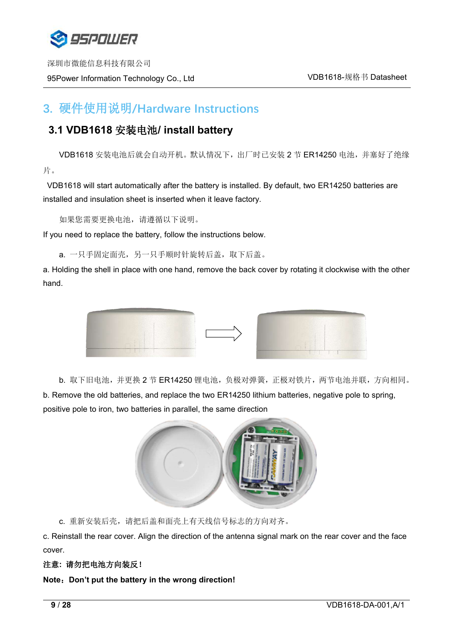

# <span id="page-8-0"></span>**3.** 硬件使用说明**/Hardware Instructions**

# <span id="page-8-1"></span>**3.1 VDB1618** 安装电池**/ install battery**

VDB1618 安装电池后就会自动开机。默认情况下,出厂时已安装 2 节 ER14250 电池,并塞好了绝缘 片。

VDB1618 will start automatically after the battery is installed.By default, two ER14250 batteries are installed and insulation sheet is inserted when it leave factory.

如果您需要更换电池,请遵循以下说明。

If you need to replace the battery, follow the instructions below.

a. 一只手固定面壳, 另一只手顺时针旋转后盖, 取下后盖。

a. Holding the shell in place with one hand, remove the back cover by rotating it clockwise with the other hand.



b. 取下旧电池,并更换 2 节 ER14250 锂电池,负极对弹簧,正极对铁片,两节电池并联,方向相同。 b. Remove the old batteries, and replace the two ER14250 lithium batteries, negative pole to spring, positive pole to iron, two batteries in parallel, the same direction



c. 重新安装后壳,请把后盖和面壳上有天线信号标志的方向对齐。

c. Reinstall the rear cover. Align the direction of the antenna signal mark on the rear cover and the face cover.

#### 注意**:** 请勿把电池方向装反!

**Note**:**Don't put the battery in the wrong direction!**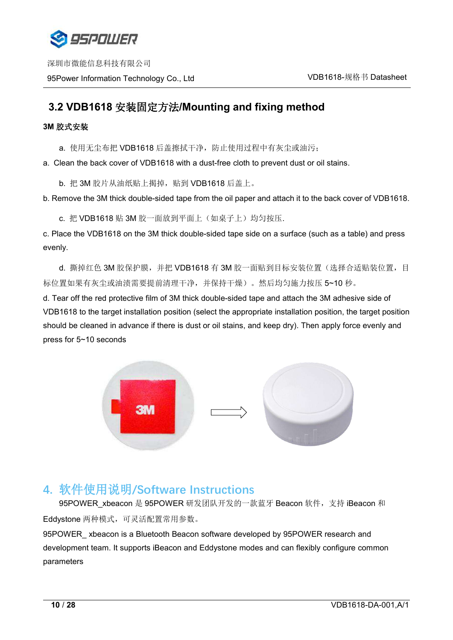

深圳市微能信息科技有限公司 95Power Information Technology Co., Ltd WELL Network Number 201618-规格书 Datasheet

## <span id="page-9-0"></span>**3.2 VDB1618** 安装固定方法**/Mounting and fixing method**

#### **3M** 胶式安装

a. 使用无尘布把 VDB1618 后盖擦拭干净, 防止使用过程中有灰尘或油污;

a. Clean the back cover of VDB1618 with a dust-free cloth to prevent dust or oil stains.

b. 把 3M 胶片从油纸贴上揭掉, 贴到 VDB1618 后盖上。

b. Remove the 3M thick double-sided tape from the oil paper and attach it to the back cover of VDB1618.

c. 把 VDB1618 贴 3M 胶一面放到平面上(如桌子上)均匀按压.

c. Place the VDB1618 on the 3M thick double-sided tape side on a surface (such as a table) and press evenly.

d. 撕掉红色 3M 胶保护膜, 并把 VDB1618 有 3M 胶一面贴到目标安装位置(选择合适贴装位置, 目 标位置如果有灰尘或油渍需要提前清理干净,并保持干燥)。然后均匀施力按压 5~10 秒。

d. Tear off the red protective film of 3M thick double-sided tape and attach the 3M adhesive side of VDB1618 to the target installation position (select the appropriate installation position, the target position should be cleaned in advance if there is dust or oil stains, and keep dry). Then apply force evenly and press for 5~10 seconds



# <span id="page-9-1"></span>**4.** 软件使用说明**/Software Instructions**

95POWER xbeacon 是 95POWER 研发团队开发的一款蓝牙 Beacon 软件,支持 iBeacon 和 Eddystone 两种模式,可灵活配置常用参数。 95POWER xbeacon is a Bluetooth Beacon software developed by 95POWER research and development team. It supports iBeacon and Eddystone modes and can flexibly configure common parameters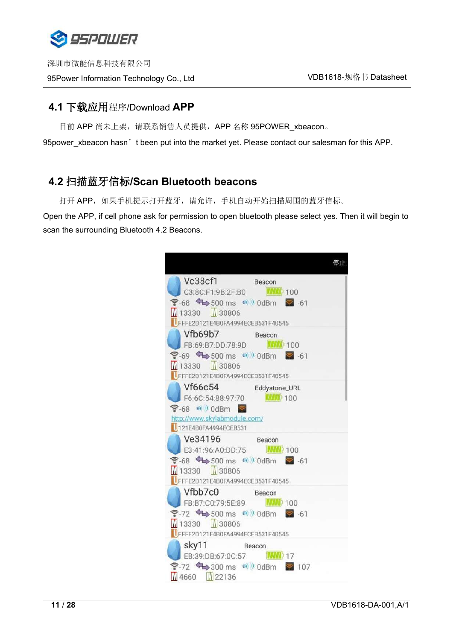

## <span id="page-10-0"></span>**4.1** 下载应用程序/Download **APP**

目前 APP 尚未上架,请联系销售人员提供, APP 名称 95POWER\_xbeacon。

95 power\_xbeacon hasn't been put into the market yet. Please contact our salesman for this APP.

# <span id="page-10-1"></span>**4.2** 扫描蓝牙信标**/Scan Bluetooth beacons**

打开 APP, 如果手机提示打开蓝牙,请允许,手机自动开始扫描周围的蓝牙信标。

Open the APP, if cell phone ask for permission to open bluetooth please select yes. Then it will begin to scan the surrounding Bluetooth 4.2 Beacons.

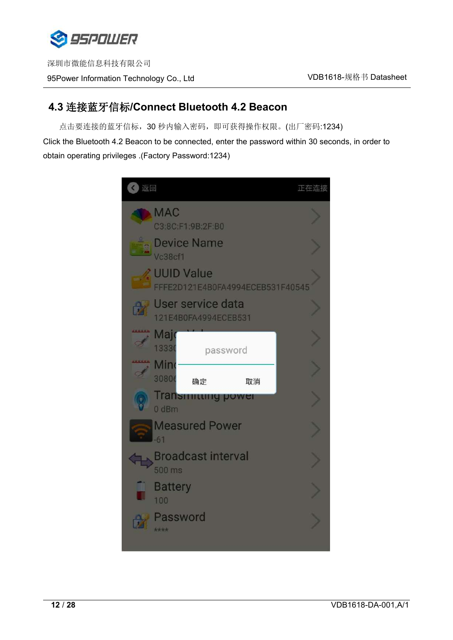

# <span id="page-11-0"></span>**4.3** 连接蓝牙信标**/Connect Bluetooth 4.2 Beacon**

点击要连接的蓝牙信标,30 秒内输入密码,即可获得操作权限。(出厂密码:1234)

Click the Bluetooth 4.2 Beacon to be connected, enter the password within 30 seconds, in order to obtain operating privileges .(Factory Password:1234)

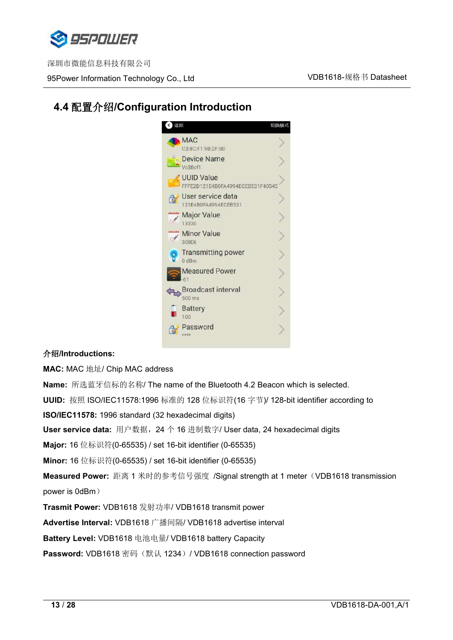

95Power Information Technology Co., Ltd WELL Network Number 201618-规格书 Datasheet

# <span id="page-12-0"></span>**4.4** 配置介绍**/Configuration Introduction**



#### 介绍**/Introductions:**

**MAC:** MAC 地址/ Chip MAC address

**Name:** 所选蓝牙信标的名称/ The name of the Bluetooth 4.2 Beacon which isselected.**UUID:** 按照 ISO/IEC11578:1996 标准的 128 位标识符(16 字节)/ 128-bit identifier according to **ISO/IEC11578:** 1996 standard (32 hexadecimal digits) **User service data:** 用户数据,24 个 16 进制数字/ User data, 24 hexadecimal digits **Major:** 16 位标识符(0-65535) / set 16-bit identifier (0-65535) **Minor:** 16 位标识符(0-65535) / set 16-bit identifier (0-65535) **Measured Power:** 距离 1 米时的参考信号强度 /Signal strength at 1 meter(VDB1618 transmission power is 0dBm) **Trasmit Power:** VDB1618 发射功率/ VDB1618 transmit power **Advertise Interval:** VDB1618 广播间隔/ VDB1618 advertise interval **Battery Level:** VDB1618 电池电量/ VDB1618 battery Capacity

Password: VDB1618 密码(默认 1234)/ VDB1618 connection password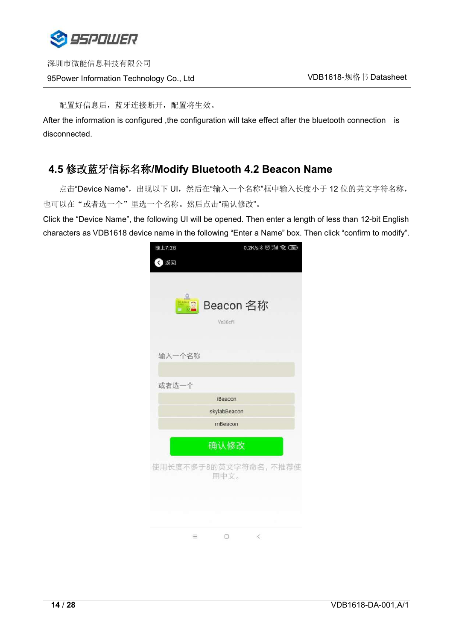

配置好信息后,蓝牙连接断开,配置将生效。

After the information is configured ,the configuration will take effect after the bluetooth connection is disconnected.

## <span id="page-13-0"></span>**4.5** 修改蓝牙信标名称**/Modify Bluetooth 4.2 Beacon Name**

点击"Device Name",出现以下 UI, 然后在"输入一个名称"框中输入长度小于 12 位的英文字符名称, 也可以在"或者选一个"里选一个名称。然后点击"确认修改"。

Click the "Device Name", the following UI will be opened. Then enter a length of less than 12-bit English characters as VDB1618 device name in the following "Enter a Name" box. Then click "confirm to modify".

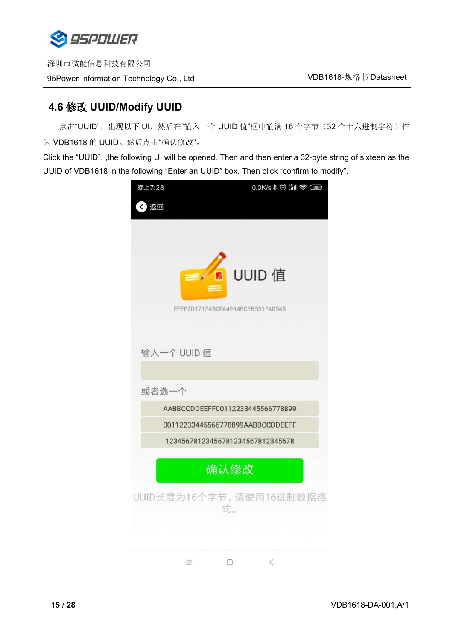

# <span id="page-14-0"></span>**4.6** 修改 **UUID/Modify UUID**

点击"UUID",出现以下 UI,然后在"输入一个 UUID 值"框中输满 16 个字节 (32 个十六进制字符)作 为 VDB1618 的 UUID。然后点击"确认修改"。

Click the "UUID", ,the following UI will be opened. Then and then enter a 32-byte string of sixteen as the UUID of VDB1618 in the following "Enter an UUID" box. Then click "confirm to modify".

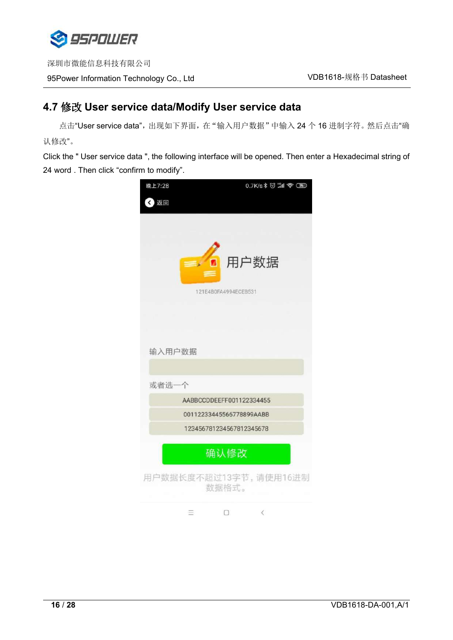

# **4.7** 修改 **User service data/Modify User service data**

点击"User service data",出现如下界面,在"输入用户数据"中输入 24 个 16 进制字符。然后点击"确 认修改"。

Click the " User service data ", the following interface will be opened. Then enter a Hexadecimal string of 24 word . Then click "confirm to modify".

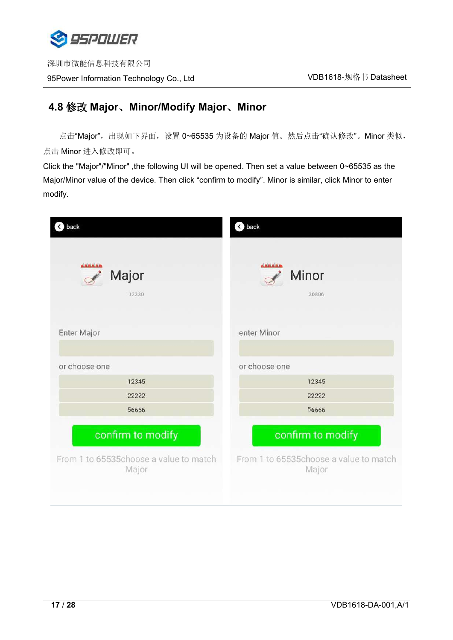

## <span id="page-16-0"></span>**4.8** 修改 **Major**、**Minor/Modify Major**、**Minor**

点击"Major", 出现如下界面, 设置 0~65535 为设备的 Major 值。然后点击"确认修改"。Minor 类似, 点击 Minor 进入修改即可。

Click the "Major"/"Minor" ,the following UI will be opened. Then set a value between 0~65535 as the Major/Minor value of the device. Then click "confirm to modify". Minor is similar, click Minor to enter modify.

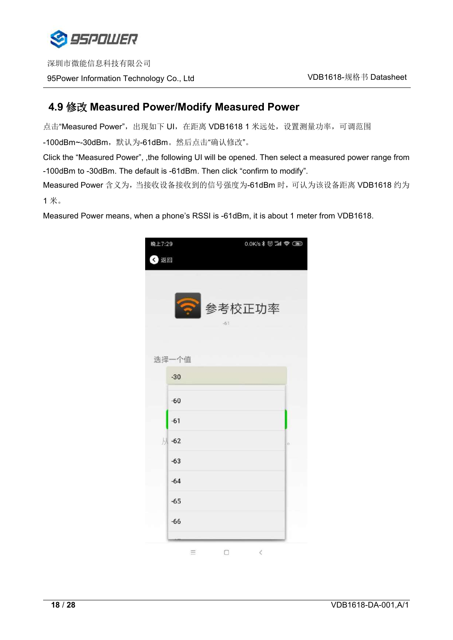

深圳市微能信息科技有限公司 95Power Information Technology Co., Ltd WELL Network Management VDB1618-规格书 Datasheet

# <span id="page-17-0"></span>**4.9** 修改 **Measured Power/Modify Measured Power**

点击"Measured Power",出现如下 UI, 在距离 VDB1618 1 米远处, 设置测量功率, 可调范围 -100dBm~-30dBm,默认为-61dBm。然后点击"确认修改"。

Click the "Measured Power", ,the following UI will be opened. Then select a measured power range from -100dBm to -30dBm. The default is -61dBm. Then click "confirm to modify".

Measured Power 含义为,当接收设备接收到的信号强度为-61dBm 时,可认为该设备距离 VDB1618 约为  $1 <sup>K</sup>$ 。

Measured Power means, when a phone's RSSI is -61dBm, it is about 1 meter from VDB1618.

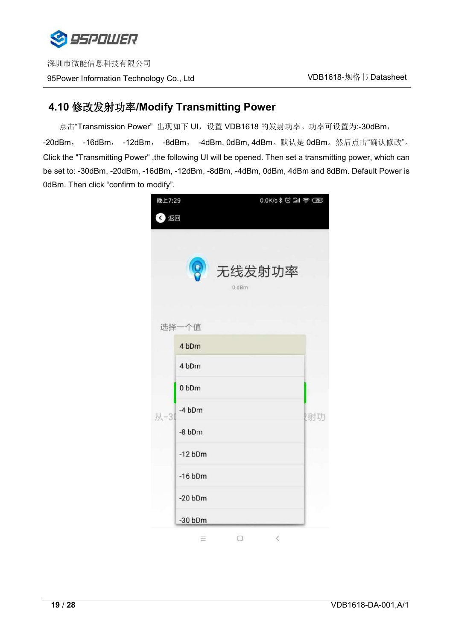

## <span id="page-18-0"></span>**4.10** 修改发射功率**/Modify Transmitting Power**

点击"Transmission Power"出现如下 UI, 设置 VDB1618 的发射功率。功率可设置为:-30dBm, -20dBm, -16dBm, -12dBm, -8dBm, -4dBm, 0dBm, 4dBm。默认是 0dBm。然后点击"确认修改"。 Click the "Transmitting Power" ,the following UI will be opened. Then set a transmitting power, which can be set to: -30dBm, -20dBm, -16dBm, -12dBm, -8dBm, -4dBm, 0dBm, 4dBm and 8dBm. Default Power is 0dBm. Then click "confirm to modify".

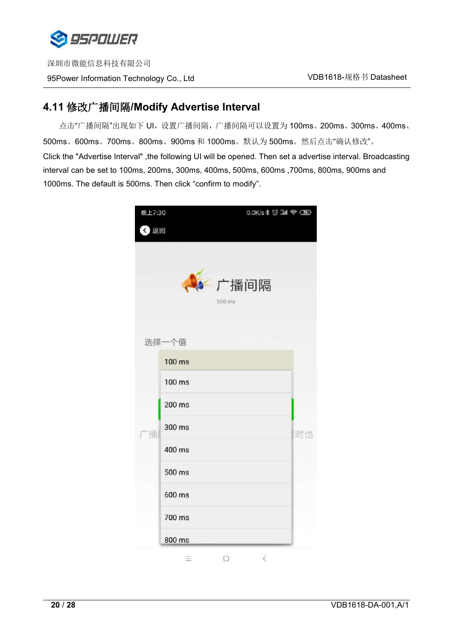

深圳市微能信息科技有限公司 95Power Information Technology Co., Ltd VDB1618-规格书 Datasheet

## **4.11** 修改广播间隔**/Modify Advertise Interval**

点击"广播间隔"出现如下 UI, 设置广播间隔, 广播间隔可以设置为 100ms、200ms、300ms、400ms、 500ms、600ms、700ms、800ms、900ms 和 1000ms。默认为 500ms。然后点击"确认修改"。 Click the "Advertise Interval" ,the following UI will be opened. Then set a advertise interval. Broadcasting interval can be set to 100ms, 200ms, 300ms, 400ms, 500ms, 600ms ,700ms, 800ms, 900ms and 1000ms. The default is 500ms. Then click "confirm to modify".

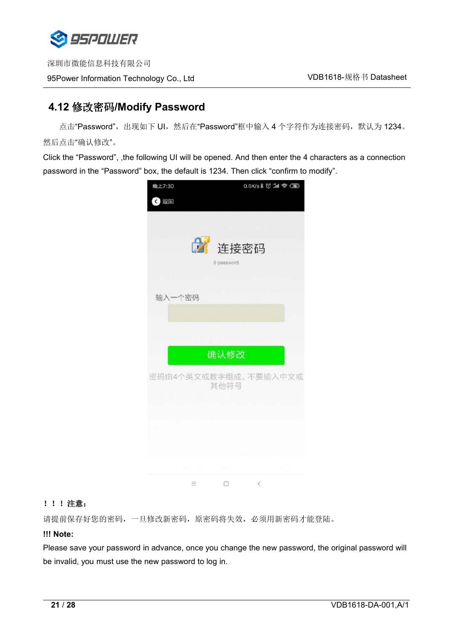

# <span id="page-20-0"></span>**4.12** 修改密码**/Modify Password**

点击"Password",出现如下 UI,然后在"Password"框中输入 4 个字符作为连接密码, 默认为 1234。 然后点击"确认修改"。

Click the "Password", ,the following UI will be opened. And then enter the 4 characters as a connection password in the "Password" box, the default is 1234. Then click "confirm to modify".



#### !!!注意:

请提前保存好您的密码,一旦修改新密码,原密码将失效,必须用新密码才能登陆。

#### **!!! Note:**

Please save your password in advance, once you change the new password, the original password will be invalid, you must use the new password to log in.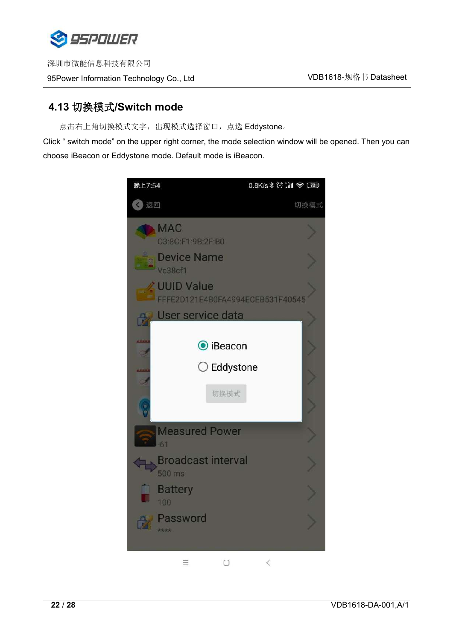

# <span id="page-21-0"></span>**4.13** 切换模式**/Switch mode**

点击右上角切换模式文字,出现模式选择窗口,点选 Eddystone。

Click " switch mode" on the upper right corner, the mode selection window will be opened. Then you can choose iBeacon or Eddystone mode. Default mode is iBeacon.

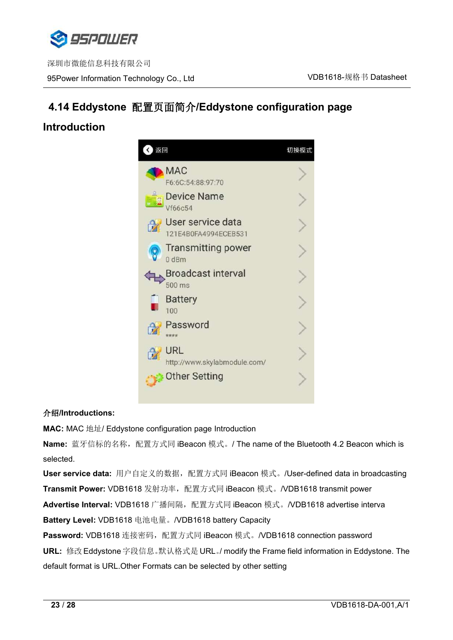

# <span id="page-22-0"></span>**4.14 Eddystone** 配置页面简介**/Eddystone configuration page**

# **Introduction**



#### 介绍**/Introductions:**

**MAC:** MAC 地址/ Eddystone configuration page Introduction

**Name:** 蓝牙信标的名称, 配置方式同 iBeacon 模式。/ The name of the Bluetooth 4.2 Beacon which is selected.

**User service data:** 用户自定义的数据,配置方式同 iBeacon 模式。/User-defined data in broadcasting **Transmit Power:** VDB1618 发射功率, 配置方式同 iBeacon 模式。/VDB1618 transmit power Advertise Interval: VDB1618 广播间隔,配置方式同 iBeacon 模式。/VDB1618 advertise interva **Battery Level:** VDB1618 电池电量。/VDB1618 battery Capacity

Password: VDB1618 连接密码,配置方式同 iBeacon 模式。/VDB1618 connection password **URL:** 修改 Eddystone 字段信息。默认格式是 URL。/ modify the Frame field information in Eddystone.The default format is URL.Other Formats can be selected by other setting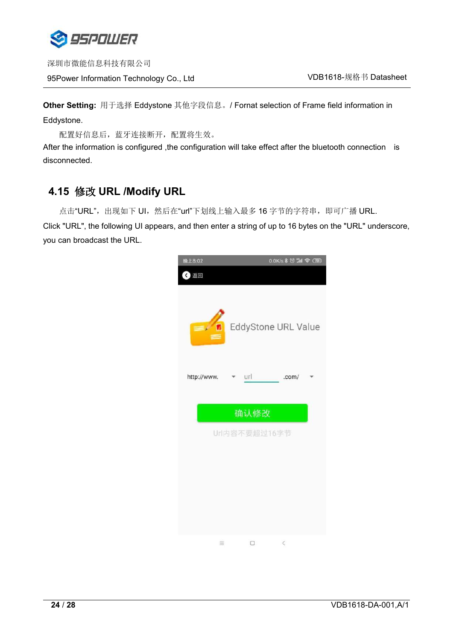

深圳市微能信息科技有限公司 95Power Information Technology Co., Ltd VDB1618-规格书 Datasheet

**Other Setting:** 用于选择 Eddystone 其他字段信息。/ Fornat selection of Frame field information in Eddystone.

配置好信息后,蓝牙连接断开,配置将生效。

After the information is configured ,the configuration will take effect after the bluetooth connection is disconnected.

## <span id="page-23-0"></span>**4.15** 修改 **URL /Modify URL**

点击"URL", 出现如下 UI, 然后在"url"下划线上输入最多 16 字节的字符串, 即可广播 URL.

Click "URL", the following UI appears, and then enter a string of up to 16 bytes on the "URL" underscore, you can broadcast the URL.

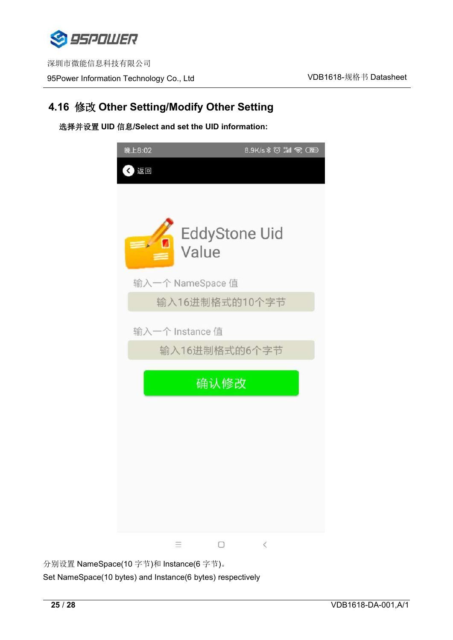

## <span id="page-24-0"></span>**4.16** 修改 **Other Setting/Modify Other Setting**

选择并设置 **UID** 信息**/Select and set the UID information:**



分别设置 NameSpace(10 字节)和 Instance(6 字节)。 Set NameSpace(10 bytes) and Instance(6 bytes) respectively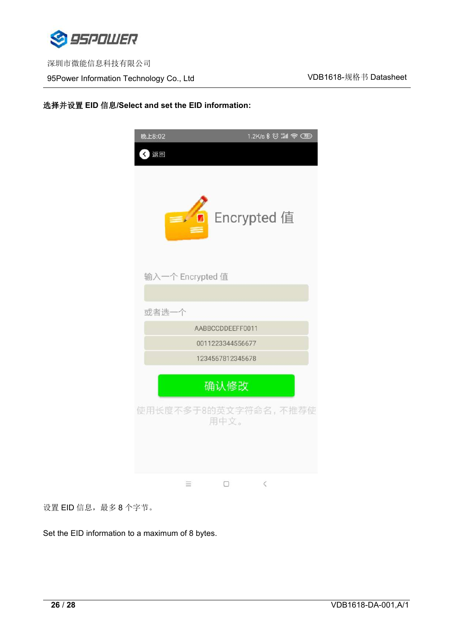

95Power Information Technology Co., Ltd White Management Muslim VDB1618-规格书 Datasheet

#### 选择并设置 **EID** 信息**/Select and set the EID information:**



设置 EID 信息,最多 8 个字节。

Set the EID information to a maximum of 8 bytes.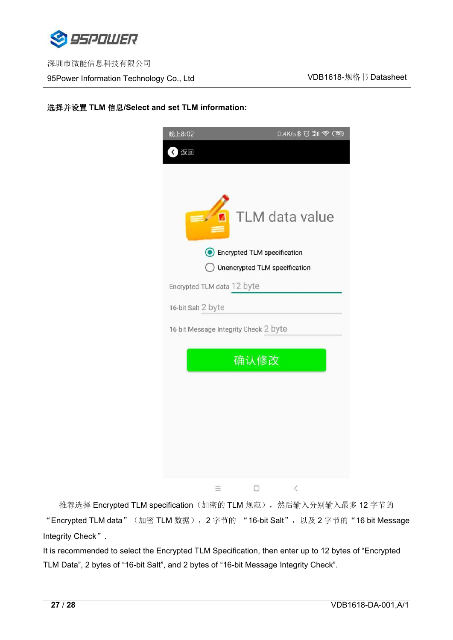

#### 选择并设置 **TLM** 信息**/Select and set TLM information:**



推荐选择 Encrypted TLM specification(加密的 TLM 规范), 然后输入分别输入最多 12 字节的 "Encrypted TLM data" (加密 TLM 数据), 2 字节的 "16-bit Salt", 以及 2 字节的 "16 bit Message Integrity Check".

It is recommended to select the Encrypted TLM Specification, then enter up to 12 bytes of "Encrypted TLM Data", 2 bytes of "16-bit Salt", and 2 bytes of "16-bit Message Integrity Check".